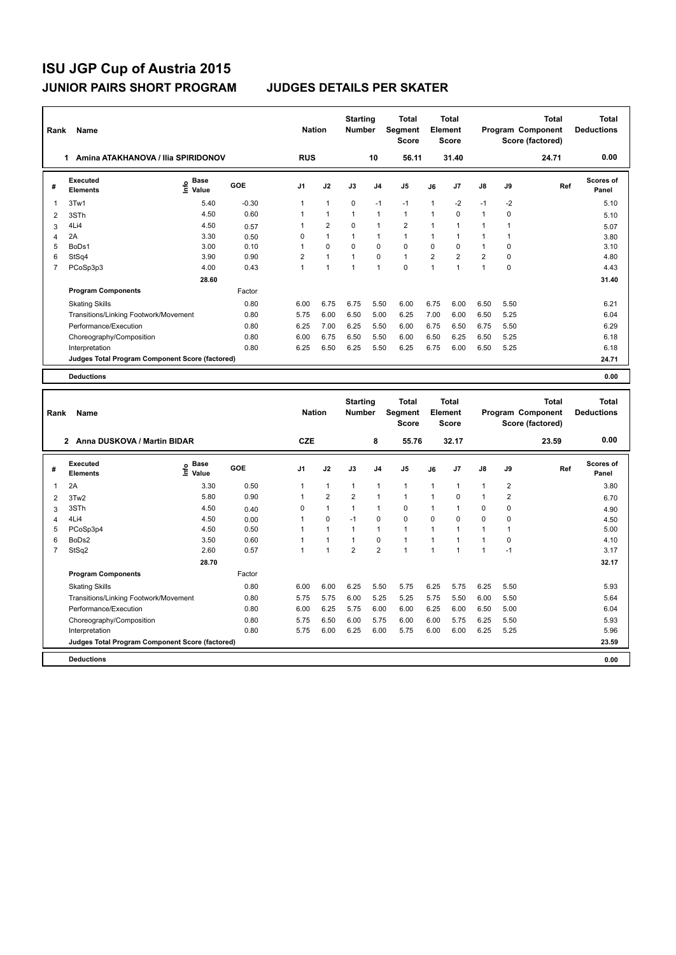| Rank           | Name<br>Amina ATAKHANOVA / Ilia SPIRIDONOV<br>1. |                                  |         | <b>Nation</b>  |                | <b>Starting</b><br><b>Number</b> |                | <b>Total</b><br>Segment<br><b>Score</b> |                | <b>Total</b><br>Element<br><b>Score</b> |                |             | <b>Total</b><br><b>Program Component</b><br>Score (factored) | <b>Total</b><br><b>Deductions</b> |
|----------------|--------------------------------------------------|----------------------------------|---------|----------------|----------------|----------------------------------|----------------|-----------------------------------------|----------------|-----------------------------------------|----------------|-------------|--------------------------------------------------------------|-----------------------------------|
|                |                                                  |                                  |         | <b>RUS</b>     |                |                                  | 10             | 56.11                                   |                | 31.40                                   |                |             | 24.71                                                        | 0.00                              |
| #              | Executed<br><b>Elements</b>                      | <b>Base</b><br>e Base<br>⊆ Value | GOE     | J <sub>1</sub> | J2             | J3                               | J <sub>4</sub> | J <sub>5</sub>                          | J6             | J7                                      | $\mathsf{J}8$  | J9          | Ref                                                          | Scores of<br>Panel                |
| 1              | 3Tw1                                             | 5.40                             | $-0.30$ | 1              | $\mathbf{1}$   | $\mathbf 0$                      | $-1$           | $-1$                                    | 1              | $-2$                                    | $-1$           | $-2$        |                                                              | 5.10                              |
| 2              | 3STh                                             | 4.50                             | 0.60    | 1              | $\mathbf{1}$   | $\mathbf{1}$                     | $\mathbf{1}$   | $\mathbf{1}$                            | 1              | 0                                       | 1              | $\mathbf 0$ |                                                              | 5.10                              |
| 3              | 4Li4                                             | 4.50                             | 0.57    | 1              | $\overline{2}$ | $\Omega$                         | $\mathbf{1}$   | $\overline{2}$                          | 1              | 1                                       | $\mathbf{1}$   | 1           |                                                              | 5.07                              |
| 4              | 2A                                               | 3.30                             | 0.50    | 0              | $\mathbf{1}$   | 1                                | $\mathbf{1}$   | $\mathbf{1}$                            | 1              | $\mathbf{1}$                            | 1              | 1           |                                                              | 3.80                              |
| 5              | BoDs1                                            | 3.00                             | 0.10    | 1              | $\mathbf 0$    | $\mathbf 0$                      | $\mathbf 0$    | $\mathbf 0$                             | 0              | 0                                       | $\mathbf{1}$   | 0           |                                                              | 3.10                              |
| 6              | StSq4                                            | 3.90                             | 0.90    | $\overline{2}$ | $\mathbf{1}$   | $\mathbf{1}$                     | $\Omega$       | $\mathbf{1}$                            | $\overline{2}$ | $\overline{2}$                          | $\overline{2}$ | $\Omega$    |                                                              | 4.80                              |
| $\overline{7}$ | PCoSp3p3                                         | 4.00                             | 0.43    | 1              | $\overline{1}$ | 1                                | $\overline{1}$ | $\mathbf 0$                             | 1              | 1                                       | $\overline{1}$ | $\mathbf 0$ |                                                              | 4.43                              |
|                |                                                  | 28.60                            |         |                |                |                                  |                |                                         |                |                                         |                |             |                                                              | 31.40                             |
|                | <b>Program Components</b>                        |                                  | Factor  |                |                |                                  |                |                                         |                |                                         |                |             |                                                              |                                   |
|                | <b>Skating Skills</b>                            |                                  | 0.80    | 6.00           | 6.75           | 6.75                             | 5.50           | 6.00                                    | 6.75           | 6.00                                    | 6.50           | 5.50        |                                                              | 6.21                              |
|                | Transitions/Linking Footwork/Movement            |                                  | 0.80    | 5.75           | 6.00           | 6.50                             | 5.00           | 6.25                                    | 7.00           | 6.00                                    | 6.50           | 5.25        |                                                              | 6.04                              |
|                | Performance/Execution                            |                                  | 0.80    | 6.25           | 7.00           | 6.25                             | 5.50           | 6.00                                    | 6.75           | 6.50                                    | 6.75           | 5.50        |                                                              | 6.29                              |
|                | Choreography/Composition                         |                                  | 0.80    | 6.00           | 6.75           | 6.50                             | 5.50           | 6.00                                    | 6.50           | 6.25                                    | 6.50           | 5.25        |                                                              | 6.18                              |
|                | Interpretation                                   |                                  | 0.80    | 6.25           | 6.50           | 6.25                             | 5.50           | 6.25                                    | 6.75           | 6.00                                    | 6.50           | 5.25        |                                                              | 6.18                              |
|                | Judges Total Program Component Score (factored)  |                                  |         |                |                |                                  |                |                                         |                |                                         |                |             |                                                              | 24.71                             |
|                | <b>Deductions</b>                                |                                  |         |                |                |                                  |                |                                         |                |                                         |                |             |                                                              | 0.00                              |
|                |                                                  |                                  |         |                |                |                                  |                |                                         |                |                                         |                |             |                                                              |                                   |
| Rank           | Name                                             |                                  |         | <b>Nation</b>  |                | <b>Starting</b><br><b>Number</b> |                | <b>Total</b><br>Segment<br><b>Score</b> |                | <b>Total</b><br>Element<br><b>Score</b> |                |             | <b>Total</b><br>Program Component<br>Score (factored)        | <b>Total</b><br><b>Deductions</b> |
|                | 2 Anna DUSKOVA / Martin BIDAR                    |                                  |         | <b>CZE</b>     |                |                                  | 8              | 55.76                                   |                | 32.17                                   |                |             | 23.59                                                        | 0.00                              |

|                | Anna DUSKOVA / Martin BIDAR<br>2                |                      |        | <b>CZE</b>     |                |                | 8                       | 55.76          |                | 32.17          |               |      | 23.59 | 0.00                      |
|----------------|-------------------------------------------------|----------------------|--------|----------------|----------------|----------------|-------------------------|----------------|----------------|----------------|---------------|------|-------|---------------------------|
| #              | <b>Executed</b><br><b>Elements</b>              | Base<br>١m٥<br>Value | GOE    | J <sub>1</sub> | J2             | J3             | J <sub>4</sub>          | J5             | J6             | J <sub>7</sub> | $\mathsf{J}8$ | J9   | Ref   | <b>Scores of</b><br>Panel |
| 1              | 2A                                              | 3.30                 | 0.50   | 1              | $\mathbf{1}$   | 1              | $\overline{\mathbf{1}}$ | $\mathbf{1}$   | $\mathbf{1}$   |                | $\mathbf{1}$  | 2    |       | 3.80                      |
| $\overline{2}$ | 3Tw2                                            | 5.80                 | 0.90   |                | $\overline{2}$ | 2              |                         |                | 1              | $\Omega$       | 1             | 2    |       | 6.70                      |
| 3              | 3STh                                            | 4.50                 | 0.40   | 0              | $\overline{1}$ |                |                         | $\pmb{0}$      | 1              |                | 0             | 0    |       | 4.90                      |
| 4              | 4Li4                                            | 4.50                 | 0.00   |                | $\mathbf 0$    | $-1$           | 0                       | $\mathbf 0$    | 0              | $\Omega$       | $\mathbf 0$   | 0    |       | 4.50                      |
| 5              | PCoSp3p4                                        | 4.50                 | 0.50   |                | 1              | и              | 1                       | $\overline{1}$ | $\overline{ }$ |                | $\mathbf{1}$  |      |       | 5.00                      |
| 6              | BoDs2                                           | 3.50                 | 0.60   |                | 1              |                | 0                       |                |                |                | 1             | 0    |       | 4.10                      |
| 7              | StSq2                                           | 2.60                 | 0.57   |                | 4              | $\overline{2}$ | $\overline{2}$          | 1              | 1              |                | 1             | $-1$ |       | 3.17                      |
|                |                                                 | 28.70                |        |                |                |                |                         |                |                |                |               |      |       | 32.17                     |
|                | <b>Program Components</b>                       |                      | Factor |                |                |                |                         |                |                |                |               |      |       |                           |
|                | <b>Skating Skills</b>                           |                      | 0.80   | 6.00           | 6.00           | 6.25           | 5.50                    | 5.75           | 6.25           | 5.75           | 6.25          | 5.50 |       | 5.93                      |
|                | Transitions/Linking Footwork/Movement           |                      | 0.80   | 5.75           | 5.75           | 6.00           | 5.25                    | 5.25           | 5.75           | 5.50           | 6.00          | 5.50 |       | 5.64                      |
|                | Performance/Execution                           |                      | 0.80   | 6.00           | 6.25           | 5.75           | 6.00                    | 6.00           | 6.25           | 6.00           | 6.50          | 5.00 |       | 6.04                      |
|                | Choreography/Composition                        |                      | 0.80   | 5.75           | 6.50           | 6.00           | 5.75                    | 6.00           | 6.00           | 5.75           | 6.25          | 5.50 |       | 5.93                      |
|                | Interpretation                                  |                      | 0.80   | 5.75           | 6.00           | 6.25           | 6.00                    | 5.75           | 6.00           | 6.00           | 6.25          | 5.25 |       | 5.96                      |
|                | Judges Total Program Component Score (factored) |                      |        |                |                |                |                         |                |                |                |               |      |       | 23.59                     |
|                | <b>Deductions</b>                               |                      |        |                |                |                |                         |                |                |                |               |      |       | 0.00                      |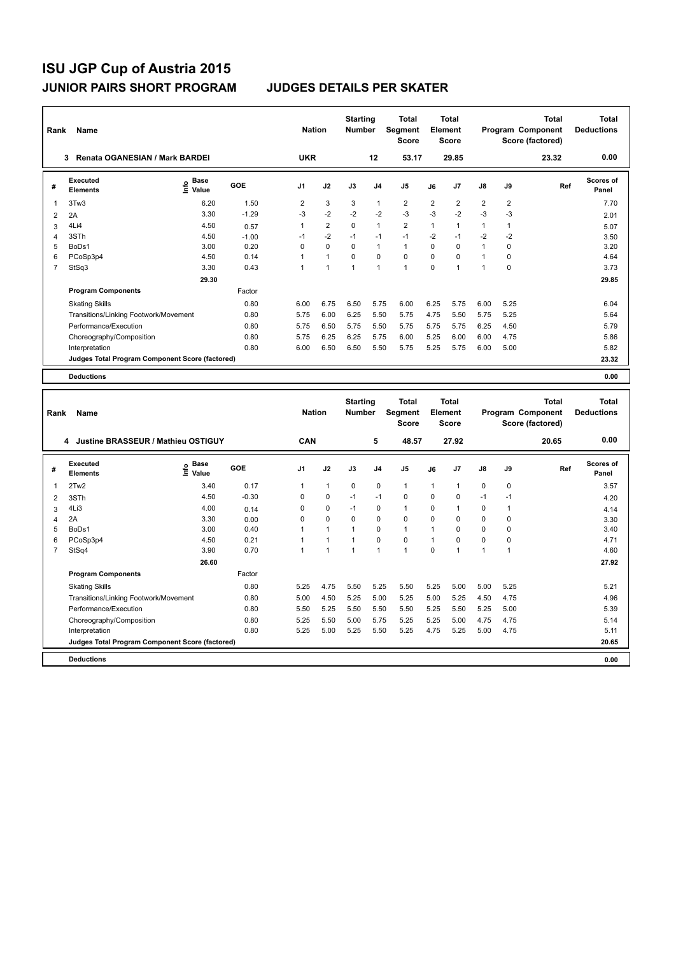| Rank           | Name<br><b>Renata OGANESIAN / Mark BARDEI</b><br>3 |                            |            | <b>Nation</b>  |                | <b>Starting</b><br><b>Number</b> |                | <b>Total</b><br>Segment<br>Score               |              | Total<br>Element<br>Score        |              |             | <b>Total</b><br>Program Component<br>Score (factored) | <b>Total</b><br><b>Deductions</b> |
|----------------|----------------------------------------------------|----------------------------|------------|----------------|----------------|----------------------------------|----------------|------------------------------------------------|--------------|----------------------------------|--------------|-------------|-------------------------------------------------------|-----------------------------------|
|                |                                                    |                            |            | <b>UKR</b>     |                |                                  | 12             | 53.17                                          |              | 29.85                            |              |             | 23.32                                                 | 0.00                              |
| #              | <b>Executed</b><br><b>Elements</b>                 | <b>Base</b><br>۴۵<br>Value | GOE        | J <sub>1</sub> | J2             | J3                               | J4             | J <sub>5</sub>                                 | J6           | J7                               | J8           | J9          | Ref                                                   | Scores of<br>Panel                |
| 1              | 3Tw3                                               | 6.20                       | 1.50       | 2              | 3              | 3                                | $\mathbf{1}$   | 2                                              | 2            | 2                                | 2            | 2           |                                                       | 7.70                              |
| $\overline{2}$ | 2A                                                 | 3.30                       | $-1.29$    | $-3$           | $-2$           | $-2$                             | $-2$           | $-3$                                           | -3           | $-2$                             | $-3$         | $-3$        |                                                       | 2.01                              |
| 3              | 4Li4                                               | 4.50                       | 0.57       | $\mathbf{1}$   | $\overline{2}$ | $\mathbf 0$                      | $\mathbf{1}$   | $\overline{2}$                                 | $\mathbf{1}$ | $\mathbf{1}$                     | $\mathbf{1}$ | 1           |                                                       | 5.07                              |
| $\overline{4}$ | 3STh                                               | 4.50                       | $-1.00$    | $-1$           | $-2$           | $-1$                             | $-1$           | $-1$                                           | $-2$         | $-1$                             | $-2$         | $-2$        |                                                       | 3.50                              |
| 5              | BoDs1                                              | 3.00                       | 0.20       | $\Omega$       | $\Omega$       | $\Omega$                         | $\mathbf{1}$   | $\mathbf{1}$                                   | $\Omega$     | $\mathbf 0$                      | $\mathbf{1}$ | $\Omega$    |                                                       | 3.20                              |
| 6              | PCoSp3p4                                           | 4.50                       | 0.14       | 1              | $\mathbf{1}$   | $\mathbf 0$                      | $\mathbf 0$    | $\mathbf 0$                                    | $\Omega$     | 0                                | $\mathbf{1}$ | 0           |                                                       | 4.64                              |
| $\overline{7}$ | StSq3                                              | 3.30                       | 0.43       | $\mathbf{1}$   | $\overline{1}$ | $\mathbf{1}$                     | $\mathbf{1}$   | $\mathbf{1}$                                   | $\Omega$     | $\mathbf{1}$                     | $\mathbf{1}$ | $\mathbf 0$ |                                                       | 3.73                              |
|                |                                                    | 29.30                      |            |                |                |                                  |                |                                                |              |                                  |              |             |                                                       | 29.85                             |
|                | <b>Program Components</b>                          |                            | Factor     |                |                |                                  |                |                                                |              |                                  |              |             |                                                       |                                   |
|                | <b>Skating Skills</b>                              |                            | 0.80       | 6.00           | 6.75           | 6.50                             | 5.75           | 6.00                                           | 6.25         | 5.75                             | 6.00         | 5.25        |                                                       | 6.04                              |
|                | Transitions/Linking Footwork/Movement              |                            | 0.80       | 5.75           | 6.00           | 6.25                             | 5.50           | 5.75                                           | 4.75         | 5.50                             | 5.75         | 5.25        |                                                       | 5.64                              |
|                | Performance/Execution                              |                            | 0.80       | 5.75           | 6.50           | 5.75                             | 5.50           | 5.75                                           | 5.75         | 5.75                             | 6.25         | 4.50        |                                                       | 5.79                              |
|                | Choreography/Composition                           |                            | 0.80       | 5.75           | 6.25           | 6.25                             | 5.75           | 6.00                                           | 5.25         | 6.00                             | 6.00         | 4.75        |                                                       | 5.86                              |
|                | Interpretation                                     |                            | 0.80       | 6.00           | 6.50           | 6.50                             | 5.50           | 5.75                                           | 5.25         | 5.75                             | 6.00         | 5.00        |                                                       | 5.82                              |
|                | Judges Total Program Component Score (factored)    |                            |            |                |                |                                  |                |                                                |              |                                  |              |             |                                                       | 23.32                             |
|                | <b>Deductions</b>                                  |                            |            |                |                |                                  |                |                                                |              |                                  |              |             |                                                       | 0.00                              |
|                |                                                    |                            |            |                |                |                                  |                |                                                |              |                                  |              |             |                                                       |                                   |
| Rank           | Name                                               |                            |            | <b>Nation</b>  |                | <b>Starting</b><br>Number        |                | <b>Total</b><br><b>Segment</b><br><b>Score</b> |              | Total<br>Element<br><b>Score</b> |              |             | <b>Total</b><br>Program Component<br>Score (factored) | <b>Total</b><br><b>Deductions</b> |
|                | 4 Justine BRASSEUR / Mathieu OSTIGUY               |                            |            | <b>CAN</b>     |                |                                  | 5              | 48.57                                          |              | 27.92                            |              |             | 20.65                                                 | 0.00                              |
| #              | <b>Executed</b><br><b>Elements</b>                 | <b>Base</b><br>۴°<br>Value | <b>GOE</b> | J1             | J2             | J3                               | J4             | J5                                             | J6           | J7                               | J8           | J9          | Ref                                                   | <b>Scores of</b><br>Panel         |
| 1              | 2Tw2                                               | 3.40                       | 0.17       | 1              | $\mathbf{1}$   | $\mathbf 0$                      | $\mathbf 0$    | $\mathbf{1}$                                   | 1            | 1                                | 0            | 0           |                                                       | 3.57                              |
| $\overline{2}$ | 3STh                                               | 4.50                       | $-0.30$    | 0              | 0              | $-1$                             | $-1$           | 0                                              | 0            | 0                                | $-1$         | -1          |                                                       | 4.20                              |
| 3              | 4Li3                                               | 4.00                       | 0.14       | 0              | $\mathbf 0$    | $-1$                             | $\mathbf 0$    | $\mathbf{1}$                                   | $\Omega$     | 1                                | 0            | 1           |                                                       | 4.14                              |
| $\overline{4}$ | 2A                                                 | 3.30                       | 0.00       | 0              | $\mathbf 0$    | 0                                | $\mathbf 0$    | 0                                              | $\Omega$     | 0                                | 0            | 0           |                                                       | 3.30                              |
| 5              | BoDs1                                              | 3.00                       | 0.40       | 1              | $\mathbf{1}$   | $\mathbf{1}$                     | $\mathbf 0$    | $\mathbf{1}$                                   | 1            | $\Omega$                         | 0            | 0           |                                                       | 3.40                              |
| 6              | PCoSp3p4                                           | 4.50                       | 0.21       | 1              | $\overline{1}$ | 1                                | $\mathbf 0$    | $\mathbf 0$                                    | 1            | $\Omega$                         | $\Omega$     | 0           |                                                       | 4.71                              |
|                | StSn4                                              | 3.90                       | 0.70       | 1              | $\overline{1}$ | 1                                | $\overline{1}$ | $\blacktriangleleft$                           | $\Omega$     | $\mathbf 1$                      | 1            | $\mathbf 1$ |                                                       | 4.60                              |

| ≀ank           | Name                                            |                                      |         | <b>Nation</b>  |                | <b>Number</b> |             | Segment<br>Score |      | Element<br><b>Score</b> |               |          | Program Component<br>Score (factored) | <b>Deductions</b>         |
|----------------|-------------------------------------------------|--------------------------------------|---------|----------------|----------------|---------------|-------------|------------------|------|-------------------------|---------------|----------|---------------------------------------|---------------------------|
|                | Justine BRASSEUR / Mathieu OSTIGUY<br>4         |                                      |         | CAN            |                |               | 5           | 48.57            |      | 27.92                   |               |          | 20.65                                 | 0.00                      |
| #              | Executed<br><b>Elements</b>                     | Base<br>$\circ$<br>$\bar{\Xi}$ Value | GOE     | J <sub>1</sub> | J2             | J3            | J4          | J <sub>5</sub>   | J6   | J7                      | $\mathsf{J}8$ | J9       | Ref                                   | <b>Scores of</b><br>Panel |
| 1              | 2Tw2                                            | 3.40                                 | 0.17    | 1              | 1              | 0             | 0           | -1               | 1    | $\mathbf{1}$            | 0             | 0        |                                       | 3.57                      |
| 2              | 3STh                                            | 4.50                                 | $-0.30$ | 0              | 0              | $-1$          | $-1$        | 0                | 0    | $\mathbf 0$             | $-1$          | $-1$     |                                       | 4.20                      |
| 3              | 4Li3                                            | 4.00                                 | 0.14    | 0              | 0              | $-1$          | 0           | 1                | 0    | $\mathbf{1}$            | $\Omega$      |          |                                       | 4.14                      |
| 4              | 2A                                              | 3.30                                 | 0.00    | 0              | 0              | 0             | $\mathbf 0$ | 0                | 0    | 0                       | 0             | $\Omega$ |                                       | 3.30                      |
| 5              | BoDs1                                           | 3.00                                 | 0.40    |                | 1              |               | 0           | 1                |      | 0                       | 0             | $\Omega$ |                                       | 3.40                      |
| 6              | PCoSp3p4                                        | 4.50                                 | 0.21    |                | 1              |               | 0           | $\Omega$         | 1    | $\mathbf 0$             | 0             | $\Omega$ |                                       | 4.71                      |
| $\overline{7}$ | StSq4                                           | 3.90                                 | 0.70    |                | $\overline{ }$ |               | 1           | 1                | 0    | 1                       | 1             |          |                                       | 4.60                      |
|                |                                                 | 26.60                                |         |                |                |               |             |                  |      |                         |               |          |                                       | 27.92                     |
|                | <b>Program Components</b>                       |                                      | Factor  |                |                |               |             |                  |      |                         |               |          |                                       |                           |
|                | <b>Skating Skills</b>                           |                                      | 0.80    | 5.25           | 4.75           | 5.50          | 5.25        | 5.50             | 5.25 | 5.00                    | 5.00          | 5.25     |                                       | 5.21                      |
|                | Transitions/Linking Footwork/Movement           |                                      | 0.80    | 5.00           | 4.50           | 5.25          | 5.00        | 5.25             | 5.00 | 5.25                    | 4.50          | 4.75     |                                       | 4.96                      |
|                | Performance/Execution                           |                                      | 0.80    | 5.50           | 5.25           | 5.50          | 5.50        | 5.50             | 5.25 | 5.50                    | 5.25          | 5.00     |                                       | 5.39                      |
|                | Choreography/Composition                        |                                      | 0.80    | 5.25           | 5.50           | 5.00          | 5.75        | 5.25             | 5.25 | 5.00                    | 4.75          | 4.75     |                                       | 5.14                      |
|                | Interpretation                                  |                                      | 0.80    | 5.25           | 5.00           | 5.25          | 5.50        | 5.25             | 4.75 | 5.25                    | 5.00          | 4.75     |                                       | 5.11                      |
|                | Judges Total Program Component Score (factored) |                                      |         |                |                |               |             |                  |      |                         |               |          |                                       | 20.65                     |
|                | <b>Deductions</b>                               |                                      |         |                |                |               |             |                  |      |                         |               |          |                                       | 0.00                      |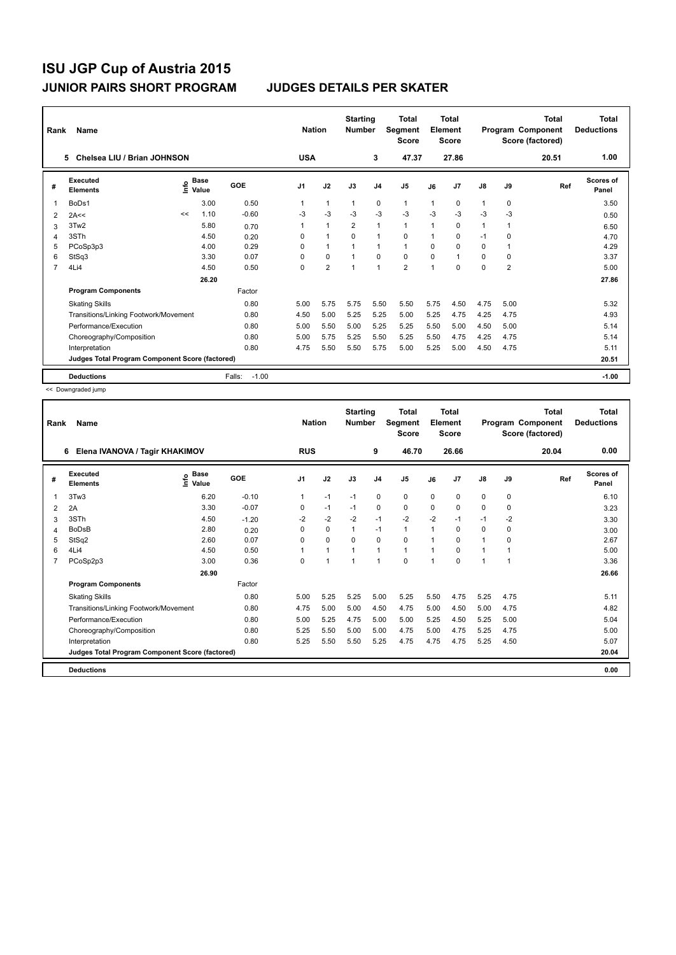| Rank           | Name                                            |    |                                    |                   | <b>Nation</b>  |                      | <b>Starting</b><br><b>Number</b> |                | <b>Total</b><br>Segment<br><b>Score</b> |      | <b>Total</b><br><b>Element</b><br><b>Score</b> |               |                         | Total<br>Program Component<br>Score (factored) | <b>Total</b><br><b>Deductions</b> |
|----------------|-------------------------------------------------|----|------------------------------------|-------------------|----------------|----------------------|----------------------------------|----------------|-----------------------------------------|------|------------------------------------------------|---------------|-------------------------|------------------------------------------------|-----------------------------------|
|                | Chelsea LIU / Brian JOHNSON<br>5                |    |                                    |                   | <b>USA</b>     |                      |                                  | 3              | 47.37                                   |      | 27.86                                          |               |                         | 20.51                                          | 1.00                              |
| #              | Executed<br><b>Elements</b>                     |    | <b>Base</b><br>$\frac{6}{5}$ Value | GOE               | J <sub>1</sub> | J2                   | J3                               | J <sub>4</sub> | J <sub>5</sub>                          | J6   | J7                                             | $\mathsf{J}8$ | J9                      | Ref                                            | <b>Scores of</b><br>Panel         |
| 1              | BoDs1                                           |    | 3.00                               | 0.50              |                | 1                    | 1                                | 0              | $\mathbf{1}$                            | 1    | 0                                              | 1             | 0                       |                                                | 3.50                              |
| 2              | 2A<<                                            | << | 1.10                               | $-0.60$           | -3             | $-3$                 | $-3$                             | $-3$           | $-3$                                    | $-3$ | $-3$                                           | $-3$          | $-3$                    |                                                | 0.50                              |
| 3              | 3Tw <sub>2</sub>                                |    | 5.80                               | 0.70              |                | $\mathbf{1}$         | $\overline{2}$                   | $\mathbf{1}$   | $\mathbf{1}$                            | 1    | 0                                              | 1             | 1                       |                                                | 6.50                              |
| 4              | 3STh                                            |    | 4.50                               | 0.20              | 0              | $\blacktriangleleft$ | $\Omega$                         | $\mathbf{1}$   | $\Omega$                                | 1    | $\Omega$                                       | $-1$          | $\Omega$                |                                                | 4.70                              |
| 5              | PCoSp3p3                                        |    | 4.00                               | 0.29              | 0              | $\mathbf{1}$         | 1                                | $\mathbf{1}$   | $\mathbf{1}$                            | 0    | 0                                              | 0             | 1                       |                                                | 4.29                              |
| 6              | StSq3                                           |    | 3.30                               | 0.07              | 0              | $\mathbf 0$          | $\mathbf{1}$                     | $\mathbf 0$    | $\mathbf 0$                             | 0    | 1                                              | 0             | 0                       |                                                | 3.37                              |
| $\overline{7}$ | 4Li4                                            |    | 4.50                               | 0.50              | 0              | $\overline{2}$       | 1                                | $\mathbf{1}$   | $\overline{2}$                          | 1    | 0                                              | 0             | $\overline{\mathbf{c}}$ |                                                | 5.00                              |
|                |                                                 |    | 26.20                              |                   |                |                      |                                  |                |                                         |      |                                                |               |                         |                                                | 27.86                             |
|                | <b>Program Components</b>                       |    |                                    | Factor            |                |                      |                                  |                |                                         |      |                                                |               |                         |                                                |                                   |
|                | <b>Skating Skills</b>                           |    |                                    | 0.80              | 5.00           | 5.75                 | 5.75                             | 5.50           | 5.50                                    | 5.75 | 4.50                                           | 4.75          | 5.00                    |                                                | 5.32                              |
|                | Transitions/Linking Footwork/Movement           |    |                                    | 0.80              | 4.50           | 5.00                 | 5.25                             | 5.25           | 5.00                                    | 5.25 | 4.75                                           | 4.25          | 4.75                    |                                                | 4.93                              |
|                | Performance/Execution                           |    |                                    | 0.80              | 5.00           | 5.50                 | 5.00                             | 5.25           | 5.25                                    | 5.50 | 5.00                                           | 4.50          | 5.00                    |                                                | 5.14                              |
|                | Choreography/Composition                        |    |                                    | 0.80              | 5.00           | 5.75                 | 5.25                             | 5.50           | 5.25                                    | 5.50 | 4.75                                           | 4.25          | 4.75                    |                                                | 5.14                              |
|                | Interpretation                                  |    |                                    | 0.80              | 4.75           | 5.50                 | 5.50                             | 5.75           | 5.00                                    | 5.25 | 5.00                                           | 4.50          | 4.75                    |                                                | 5.11                              |
|                | Judges Total Program Component Score (factored) |    |                                    |                   |                |                      |                                  |                |                                         |      |                                                |               |                         |                                                | 20.51                             |
|                | <b>Deductions</b>                               |    |                                    | $-1.00$<br>Falls: |                |                      |                                  |                |                                         |      |                                                |               |                         |                                                | $-1.00$                           |

<< Downgraded jump

| Rank           | <b>Name</b><br>6<br>Elena IVANOVA / Tagir KHAKIMOV |                    |            |            | <b>Nation</b> | <b>Starting</b><br><b>Number</b> |                | Total<br>Segment<br><b>Score</b> |              | <b>Total</b><br>Element<br><b>Score</b> |                      |          | <b>Total</b><br>Program Component<br>Score (factored) | <b>Total</b><br><b>Deductions</b> |
|----------------|----------------------------------------------------|--------------------|------------|------------|---------------|----------------------------------|----------------|----------------------------------|--------------|-----------------------------------------|----------------------|----------|-------------------------------------------------------|-----------------------------------|
|                |                                                    |                    |            | <b>RUS</b> |               |                                  | 9              | 46.70                            |              | 26.66                                   |                      |          | 20.04                                                 | 0.00                              |
| #              | Executed<br><b>Elements</b>                        | $\frac{e}{E}$ Base | <b>GOE</b> | J1         | J2            | J3                               | J <sub>4</sub> | J <sub>5</sub>                   | J6           | J <sub>7</sub>                          | $\mathsf{J}8$        | J9       | Ref                                                   | <b>Scores of</b><br>Panel         |
| 1              | 3Tw3                                               | 6.20               | $-0.10$    | 1          | $-1$          | $-1$                             | 0              | $\mathbf 0$                      | $\Omega$     | 0                                       | 0                    | 0        |                                                       | 6.10                              |
| 2              | 2A                                                 | 3.30               | $-0.07$    | 0          | $-1$          | $-1$                             | $\mathbf 0$    | $\mathbf 0$                      | 0            | 0                                       | $\mathbf 0$          | 0        |                                                       | 3.23                              |
| 3              | 3STh                                               | 4.50               | $-1.20$    | $-2$       | $-2$          | $-2$                             | $-1$           | $-2$                             | $-2$         | $-1$                                    | $-1$                 | $-2$     |                                                       | 3.30                              |
| 4              | <b>BoDsB</b>                                       | 2.80               | 0.20       | $\Omega$   | $\mathbf 0$   | $\mathbf{1}$                     | $-1$           | $\mathbf{1}$                     | 1            | 0                                       | 0                    | 0        |                                                       | 3.00                              |
| 5              | StSq2                                              | 2.60               | 0.07       | $\Omega$   | $\Omega$      | $\Omega$                         | $\Omega$       | $\Omega$                         | $\mathbf{1}$ | $\Omega$                                | $\blacktriangleleft$ | $\Omega$ |                                                       | 2.67                              |
| 6              | 4Li4                                               | 4.50               | 0.50       |            | $\mathbf{1}$  | $\mathbf{1}$                     | $\mathbf{1}$   | $\mathbf{1}$                     | 1            | $\Omega$                                | 1                    |          |                                                       | 5.00                              |
| $\overline{7}$ | PCoSp2p3                                           | 3.00               | 0.36       | $\Omega$   | $\mathbf{1}$  | $\mathbf{1}$                     | $\mathbf{1}$   | $\Omega$                         | $\mathbf{1}$ | $\Omega$                                | $\overline{1}$       | 1        |                                                       | 3.36                              |
|                |                                                    | 26.90              |            |            |               |                                  |                |                                  |              |                                         |                      |          |                                                       | 26.66                             |
|                | <b>Program Components</b>                          |                    | Factor     |            |               |                                  |                |                                  |              |                                         |                      |          |                                                       |                                   |
|                | <b>Skating Skills</b>                              |                    | 0.80       | 5.00       | 5.25          | 5.25                             | 5.00           | 5.25                             | 5.50         | 4.75                                    | 5.25                 | 4.75     |                                                       | 5.11                              |
|                | Transitions/Linking Footwork/Movement              |                    | 0.80       | 4.75       | 5.00          | 5.00                             | 4.50           | 4.75                             | 5.00         | 4.50                                    | 5.00                 | 4.75     |                                                       | 4.82                              |
|                | Performance/Execution                              |                    | 0.80       | 5.00       | 5.25          | 4.75                             | 5.00           | 5.00                             | 5.25         | 4.50                                    | 5.25                 | 5.00     |                                                       | 5.04                              |
|                | Choreography/Composition                           |                    | 0.80       | 5.25       | 5.50          | 5.00                             | 5.00           | 4.75                             | 5.00         | 4.75                                    | 5.25                 | 4.75     |                                                       | 5.00                              |
|                | Interpretation                                     |                    | 0.80       | 5.25       | 5.50          | 5.50                             | 5.25           | 4.75                             | 4.75         | 4.75                                    | 5.25                 | 4.50     |                                                       | 5.07                              |
|                | Judges Total Program Component Score (factored)    |                    |            |            |               |                                  |                |                                  |              |                                         |                      |          |                                                       | 20.04                             |
|                | <b>Deductions</b>                                  |                    |            |            |               |                                  |                |                                  |              |                                         |                      |          |                                                       | 0.00                              |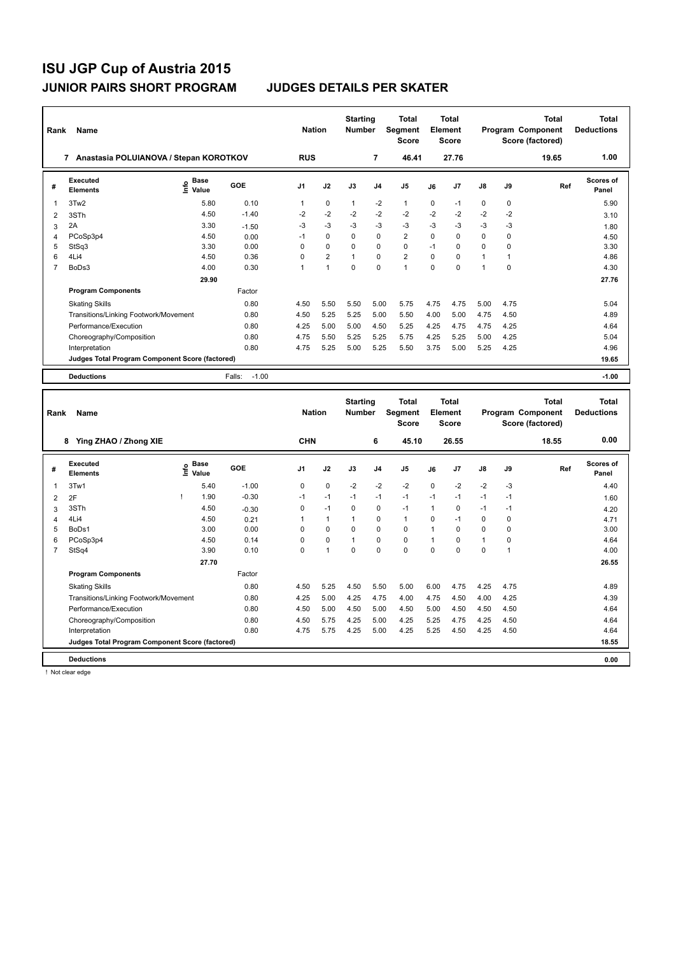| Rank           | Name                                            |                              |                   | <b>Nation</b>  |                | <b>Starting</b><br><b>Number</b> |                | Total<br>Segment<br><b>Score</b> |          | Total<br>Element<br><b>Score</b> |               |      | Total<br>Program Component<br>Score (factored) | <b>Total</b><br><b>Deductions</b> |
|----------------|-------------------------------------------------|------------------------------|-------------------|----------------|----------------|----------------------------------|----------------|----------------------------------|----------|----------------------------------|---------------|------|------------------------------------------------|-----------------------------------|
|                | Anastasia POLUIANOVA / Stepan KOROTKOV<br>7     |                              |                   | <b>RUS</b>     |                |                                  | 7              | 46.41                            |          | 27.76                            |               |      | 19.65                                          | 1.00                              |
| #              | Executed<br><b>Elements</b>                     | <b>Base</b><br>١nfo<br>Value | GOE               | J <sub>1</sub> | J2             | J3                               | J <sub>4</sub> | J <sub>5</sub>                   | J6       | J <sub>7</sub>                   | $\mathsf{J}8$ | J9   | Ref                                            | Scores of<br>Panel                |
| 1              | 3Tw2                                            | 5.80                         | 0.10              | 1              | $\mathbf 0$    | $\mathbf{1}$                     | $-2$           | $\mathbf{1}$                     | 0        | $-1$                             | 0             | 0    |                                                | 5.90                              |
| 2              | 3STh                                            | 4.50                         | $-1.40$           | $-2$           | $-2$           | $-2$                             | $-2$           | $-2$                             | $-2$     | $-2$                             | $-2$          | $-2$ |                                                | 3.10                              |
| 3              | 2A                                              | 3.30                         | $-1.50$           | $-3$           | $-3$           | $-3$                             | $-3$           | $-3$                             | $-3$     | $-3$                             | $-3$          | $-3$ |                                                | 1.80                              |
| 4              | PCoSp3p4                                        | 4.50                         | 0.00              | $-1$           | $\Omega$       | $\Omega$                         | $\mathbf 0$    | $\overline{2}$                   | $\Omega$ | 0                                | $\Omega$      | 0    |                                                | 4.50                              |
| 5              | StSq3                                           | 3.30                         | 0.00              | $\Omega$       | $\Omega$       | $\Omega$                         | 0              | $\Omega$                         | $-1$     | 0                                | 0             | 0    |                                                | 3.30                              |
| 6              | 4Li4                                            | 4.50                         | 0.36              | $\Omega$       | $\overline{2}$ | $\mathbf{1}$                     | $\Omega$       | $\overline{2}$                   | $\Omega$ | 0                                | 1             | 1    |                                                | 4.86                              |
| $\overline{7}$ | BoDs3                                           | 4.00                         | 0.30              | 1              | $\overline{1}$ | 0                                | $\mathbf 0$    | $\mathbf{1}$                     | 0        | 0                                | 1             | 0    |                                                | 4.30                              |
|                |                                                 | 29.90                        |                   |                |                |                                  |                |                                  |          |                                  |               |      |                                                | 27.76                             |
|                | <b>Program Components</b>                       |                              | Factor            |                |                |                                  |                |                                  |          |                                  |               |      |                                                |                                   |
|                | <b>Skating Skills</b>                           |                              | 0.80              | 4.50           | 5.50           | 5.50                             | 5.00           | 5.75                             | 4.75     | 4.75                             | 5.00          | 4.75 |                                                | 5.04                              |
|                | Transitions/Linking Footwork/Movement           |                              | 0.80              | 4.50           | 5.25           | 5.25                             | 5.00           | 5.50                             | 4.00     | 5.00                             | 4.75          | 4.50 |                                                | 4.89                              |
|                | Performance/Execution                           |                              | 0.80              | 4.25           | 5.00           | 5.00                             | 4.50           | 5.25                             | 4.25     | 4.75                             | 4.75          | 4.25 |                                                | 4.64                              |
|                | Choreography/Composition                        |                              | 0.80              | 4.75           | 5.50           | 5.25                             | 5.25           | 5.75                             | 4.25     | 5.25                             | 5.00          | 4.25 |                                                | 5.04                              |
|                | Interpretation                                  |                              | 0.80              | 4.75           | 5.25           | 5.00                             | 5.25           | 5.50                             | 3.75     | 5.00                             | 5.25          | 4.25 |                                                | 4.96                              |
|                | Judges Total Program Component Score (factored) |                              |                   |                |                |                                  |                |                                  |          |                                  |               |      |                                                | 19.65                             |
|                | <b>Deductions</b>                               |                              | Falls:<br>$-1.00$ |                |                |                                  |                |                                  |          |                                  |               |      |                                                | $-1.00$                           |
|                |                                                 |                              |                   |                |                |                                  |                |                                  |          |                                  |               |      |                                                |                                   |

| Rank           | Name                                            |      |                      |         | <b>Nation</b>  |                      | <b>Starting</b><br><b>Number</b> |                | <b>Total</b><br>Segment<br><b>Score</b> |      | <b>Total</b><br>Element<br><b>Score</b> |               |          | <b>Total</b><br>Program Component<br>Score (factored) | <b>Total</b><br><b>Deductions</b> |
|----------------|-------------------------------------------------|------|----------------------|---------|----------------|----------------------|----------------------------------|----------------|-----------------------------------------|------|-----------------------------------------|---------------|----------|-------------------------------------------------------|-----------------------------------|
|                | Ying ZHAO / Zhong XIE<br>8                      |      |                      |         | <b>CHN</b>     |                      |                                  | 6              | 45.10                                   |      | 26.55                                   |               |          | 18.55                                                 | 0.00                              |
| #              | Executed<br><b>Elements</b>                     | lnfo | <b>Base</b><br>Value | GOE     | J <sub>1</sub> | J2                   | J3                               | J <sub>4</sub> | J <sub>5</sub>                          | J6   | J7                                      | $\mathsf{J}8$ | J9       | Ref                                                   | <b>Scores of</b><br>Panel         |
|                | 3Tw1                                            |      | 5.40                 | $-1.00$ | 0              | $\pmb{0}$            | $-2$                             | $-2$           | $-2$                                    | 0    | $-2$                                    | $-2$          | $-3$     |                                                       | 4.40                              |
| $\overline{2}$ | 2F                                              |      | 1.90                 | $-0.30$ | $-1$           | $-1$                 | $-1$                             | $-1$           | $-1$                                    | $-1$ | $-1$                                    | $-1$          | $-1$     |                                                       | 1.60                              |
| 3              | 3STh                                            |      | 4.50                 | $-0.30$ | 0              | $-1$                 | 0                                | 0              | $-1$                                    | 1    | 0                                       | $-1$          | -1       |                                                       | 4.20                              |
| 4              | 4Li4                                            |      | 4.50                 | 0.21    |                | $\mathbf{1}$         |                                  | 0              | $\mathbf{1}$                            | 0    | $-1$                                    | 0             | $\Omega$ |                                                       | 4.71                              |
| 5              | BoDs1                                           |      | 3.00                 | 0.00    | 0              | 0                    | $\Omega$                         | 0              | 0                                       | 1    | $\Omega$                                | 0             | 0        |                                                       | 3.00                              |
| 6              | PCoSp3p4                                        |      | 4.50                 | 0.14    | 0              | $\mathbf 0$          | $\overline{1}$                   | 0              | 0                                       |      | $\Omega$                                | 1             | 0        |                                                       | 4.64                              |
| $\overline{7}$ | StSq4                                           |      | 3.90                 | 0.10    | 0              | $\blacktriangleleft$ | $\Omega$                         | $\Omega$       | $\Omega$                                | 0    | 0                                       | 0             | 1        |                                                       | 4.00                              |
|                |                                                 |      | 27.70                |         |                |                      |                                  |                |                                         |      |                                         |               |          |                                                       | 26.55                             |
|                | <b>Program Components</b>                       |      |                      | Factor  |                |                      |                                  |                |                                         |      |                                         |               |          |                                                       |                                   |
|                | <b>Skating Skills</b>                           |      |                      | 0.80    | 4.50           | 5.25                 | 4.50                             | 5.50           | 5.00                                    | 6.00 | 4.75                                    | 4.25          | 4.75     |                                                       | 4.89                              |
|                | Transitions/Linking Footwork/Movement           |      |                      | 0.80    | 4.25           | 5.00                 | 4.25                             | 4.75           | 4.00                                    | 4.75 | 4.50                                    | 4.00          | 4.25     |                                                       | 4.39                              |
|                | Performance/Execution                           |      |                      | 0.80    | 4.50           | 5.00                 | 4.50                             | 5.00           | 4.50                                    | 5.00 | 4.50                                    | 4.50          | 4.50     |                                                       | 4.64                              |
|                | Choreography/Composition                        |      |                      | 0.80    | 4.50           | 5.75                 | 4.25                             | 5.00           | 4.25                                    | 5.25 | 4.75                                    | 4.25          | 4.50     |                                                       | 4.64                              |
|                | Interpretation                                  |      |                      | 0.80    | 4.75           | 5.75                 | 4.25                             | 5.00           | 4.25                                    | 5.25 | 4.50                                    | 4.25          | 4.50     |                                                       | 4.64                              |
|                | Judges Total Program Component Score (factored) |      |                      |         |                |                      |                                  |                |                                         |      |                                         |               |          |                                                       | 18.55                             |
|                | <b>Deductions</b>                               |      |                      |         |                |                      |                                  |                |                                         |      |                                         |               |          |                                                       | 0.00                              |

! Not clear edge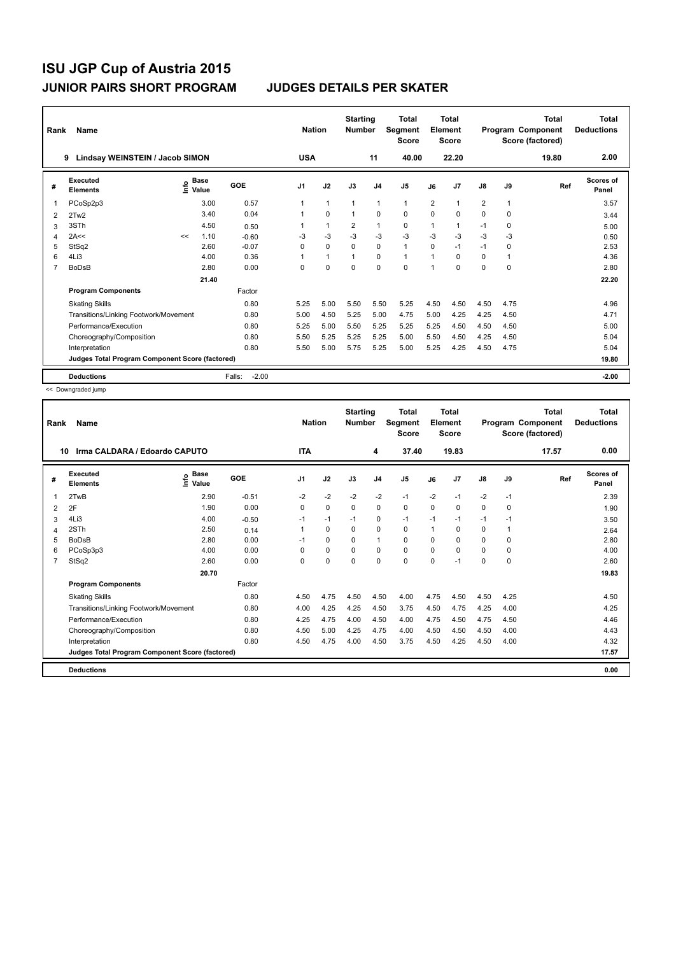| Rank | Name                                            |    |                                  |                   | <b>Nation</b>  |              | <b>Starting</b><br><b>Number</b> |                | <b>Total</b><br>Segment<br><b>Score</b> |                | <b>Total</b><br>Element<br><b>Score</b> |                |              | <b>Total</b><br>Program Component<br>Score (factored) | <b>Total</b><br><b>Deductions</b> |
|------|-------------------------------------------------|----|----------------------------------|-------------------|----------------|--------------|----------------------------------|----------------|-----------------------------------------|----------------|-----------------------------------------|----------------|--------------|-------------------------------------------------------|-----------------------------------|
|      | Lindsay WEINSTEIN / Jacob SIMON<br>9            |    |                                  |                   | <b>USA</b>     |              |                                  | 11             | 40.00                                   |                | 22.20                                   |                |              | 19.80                                                 | 2.00                              |
| #    | Executed<br><b>Elements</b>                     |    | <b>Base</b><br>e Base<br>⊆ Value | GOE               | J <sub>1</sub> | J2           | J3                               | J <sub>4</sub> | J <sub>5</sub>                          | J6             | J7                                      | $\mathsf{J}8$  | J9           | Ref                                                   | <b>Scores of</b><br>Panel         |
| 1    | PCoSp2p3                                        |    | 3.00                             | 0.57              |                | $\mathbf{1}$ | $\mathbf 1$                      | 1              | $\mathbf{1}$                            | $\overline{2}$ | 1                                       | $\overline{2}$ | 1            |                                                       | 3.57                              |
| 2    | 2Tw2                                            |    | 3.40                             | 0.04              |                | $\Omega$     | $\mathbf{1}$                     | $\Omega$       | $\mathbf 0$                             | 0              | $\Omega$                                | $\Omega$       | $\Omega$     |                                                       | 3.44                              |
| 3    | 3STh                                            |    | 4.50                             | 0.50              |                | 1            | $\overline{2}$                   | $\mathbf{1}$   | 0                                       | 1              | 1                                       | $-1$           | 0            |                                                       | 5.00                              |
| 4    | 2A<<                                            | << | 1.10                             | $-0.60$           | -3             | $-3$         | $-3$                             | $-3$           | $-3$                                    | $-3$           | $-3$                                    | $-3$           | -3           |                                                       | 0.50                              |
| 5    | StSq2                                           |    | 2.60                             | $-0.07$           | 0              | $\mathbf 0$  | $\mathbf 0$                      | $\mathbf 0$    | $\mathbf{1}$                            | 0              | $-1$                                    | $-1$           | 0            |                                                       | 2.53                              |
| 6    | 4Li3                                            |    | 4.00                             | 0.36              |                | $\mathbf{1}$ | $\mathbf{1}$                     | 0              | $\mathbf{1}$                            | 1              | $\Omega$                                | 0              | $\mathbf{1}$ |                                                       | 4.36                              |
| 7    | <b>BoDsB</b>                                    |    | 2.80                             | 0.00              | 0              | $\mathbf 0$  | $\mathbf 0$                      | $\mathbf 0$    | $\mathbf 0$                             | 1              | 0                                       | 0              | 0            |                                                       | 2.80                              |
|      |                                                 |    | 21.40                            |                   |                |              |                                  |                |                                         |                |                                         |                |              |                                                       | 22.20                             |
|      | <b>Program Components</b>                       |    |                                  | Factor            |                |              |                                  |                |                                         |                |                                         |                |              |                                                       |                                   |
|      | <b>Skating Skills</b>                           |    |                                  | 0.80              | 5.25           | 5.00         | 5.50                             | 5.50           | 5.25                                    | 4.50           | 4.50                                    | 4.50           | 4.75         |                                                       | 4.96                              |
|      | Transitions/Linking Footwork/Movement           |    |                                  | 0.80              | 5.00           | 4.50         | 5.25                             | 5.00           | 4.75                                    | 5.00           | 4.25                                    | 4.25           | 4.50         |                                                       | 4.71                              |
|      | Performance/Execution                           |    |                                  | 0.80              | 5.25           | 5.00         | 5.50                             | 5.25           | 5.25                                    | 5.25           | 4.50                                    | 4.50           | 4.50         |                                                       | 5.00                              |
|      | Choreography/Composition                        |    |                                  | 0.80              | 5.50           | 5.25         | 5.25                             | 5.25           | 5.00                                    | 5.50           | 4.50                                    | 4.25           | 4.50         |                                                       | 5.04                              |
|      | Interpretation                                  |    |                                  | 0.80              | 5.50           | 5.00         | 5.75                             | 5.25           | 5.00                                    | 5.25           | 4.25                                    | 4.50           | 4.75         |                                                       | 5.04                              |
|      | Judges Total Program Component Score (factored) |    |                                  |                   |                |              |                                  |                |                                         |                |                                         |                |              |                                                       | 19.80                             |
|      | <b>Deductions</b>                               |    |                                  | $-2.00$<br>Falls: |                |              |                                  |                |                                         |                |                                         |                |              |                                                       | $-2.00$                           |

<< Downgraded jump

| Rank           | <b>Name</b>                                     |                              |         | <b>Nation</b>  |             | <b>Starting</b><br><b>Number</b> |                | <b>Total</b><br><b>Segment</b><br><b>Score</b> |          | <b>Total</b><br>Element<br>Score |               |          | <b>Total</b><br>Program Component<br>Score (factored) | <b>Total</b><br><b>Deductions</b> |
|----------------|-------------------------------------------------|------------------------------|---------|----------------|-------------|----------------------------------|----------------|------------------------------------------------|----------|----------------------------------|---------------|----------|-------------------------------------------------------|-----------------------------------|
|                | Irma CALDARA / Edoardo CAPUTO<br>10             |                              |         | <b>ITA</b>     |             |                                  | 4              | 37.40                                          |          | 19.83                            |               |          | 17.57                                                 | 0.00                              |
| #              | Executed<br><b>Elements</b>                     | <b>Base</b><br>Info<br>Value | GOE     | J <sub>1</sub> | J2          | J3                               | J <sub>4</sub> | J <sub>5</sub>                                 | J6       | J <sub>7</sub>                   | $\mathsf{J}8$ | J9       | Ref                                                   | <b>Scores of</b><br>Panel         |
| 1              | 2TwB                                            | 2.90                         | $-0.51$ | $-2$           | $-2$        | $-2$                             | $-2$           | $-1$                                           | $-2$     | $-1$                             | $-2$          | $-1$     |                                                       | 2.39                              |
| $\overline{2}$ | 2F                                              | 1.90                         | 0.00    | 0              | $\mathbf 0$ | $\mathbf 0$                      | $\mathbf 0$    | $\mathbf 0$                                    | 0        | 0                                | $\mathbf 0$   | 0        |                                                       | 1.90                              |
| 3              | 4Li3                                            | 4.00                         | $-0.50$ | $-1$           | $-1$        | $-1$                             | 0              | $-1$                                           | $-1$     | $-1$                             | $-1$          | $-1$     |                                                       | 3.50                              |
| 4              | 2STh                                            | 2.50                         | 0.14    |                | 0           | $\Omega$                         | $\mathbf 0$    | $\mathbf 0$                                    |          | 0                                | 0             |          |                                                       | 2.64                              |
| 5              | <b>BoDsB</b>                                    | 2.80                         | 0.00    | $-1$           | $\Omega$    | $\Omega$                         | $\mathbf{1}$   | $\Omega$                                       | $\Omega$ | $\Omega$                         | $\Omega$      | $\Omega$ |                                                       | 2.80                              |
| 6              | PCoSp3p3                                        | 4.00                         | 0.00    | $\Omega$       | $\mathbf 0$ | $\Omega$                         | $\mathbf 0$    | $\mathbf 0$                                    | $\Omega$ | 0                                | $\mathbf 0$   | 0        |                                                       | 4.00                              |
| $\overline{7}$ | StSq2                                           | 2.60                         | 0.00    | 0              | 0           | $\Omega$                         | 0              | 0                                              | $\Omega$ | $-1$                             | $\mathbf 0$   | 0        |                                                       | 2.60                              |
|                |                                                 | 20.70                        |         |                |             |                                  |                |                                                |          |                                  |               |          |                                                       | 19.83                             |
|                | <b>Program Components</b>                       |                              | Factor  |                |             |                                  |                |                                                |          |                                  |               |          |                                                       |                                   |
|                | <b>Skating Skills</b>                           |                              | 0.80    | 4.50           | 4.75        | 4.50                             | 4.50           | 4.00                                           | 4.75     | 4.50                             | 4.50          | 4.25     |                                                       | 4.50                              |
|                | Transitions/Linking Footwork/Movement           |                              | 0.80    | 4.00           | 4.25        | 4.25                             | 4.50           | 3.75                                           | 4.50     | 4.75                             | 4.25          | 4.00     |                                                       | 4.25                              |
|                | Performance/Execution                           |                              | 0.80    | 4.25           | 4.75        | 4.00                             | 4.50           | 4.00                                           | 4.75     | 4.50                             | 4.75          | 4.50     |                                                       | 4.46                              |
|                | Choreography/Composition                        |                              | 0.80    | 4.50           | 5.00        | 4.25                             | 4.75           | 4.00                                           | 4.50     | 4.50                             | 4.50          | 4.00     |                                                       | 4.43                              |
|                | Interpretation                                  |                              | 0.80    | 4.50           | 4.75        | 4.00                             | 4.50           | 3.75                                           | 4.50     | 4.25                             | 4.50          | 4.00     |                                                       | 4.32                              |
|                | Judges Total Program Component Score (factored) |                              |         |                |             |                                  |                |                                                |          |                                  |               |          |                                                       | 17.57                             |
|                | <b>Deductions</b>                               |                              |         |                |             |                                  |                |                                                |          |                                  |               |          |                                                       | 0.00                              |